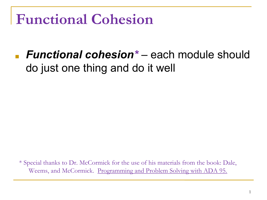#### **Functional Cohesion**

■ *Functional cohesion\** – each module should do just one thing and do it well

\* Special thanks to Dr. McCormick for the use of his materials from the book: Dale, Weems, and McCormick. Programming and Problem Solving with ADA 95.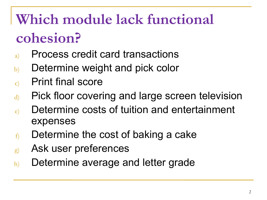## **Which module lack functional cohesion?**

- a) Process credit card transactions
- b) Determine weight and pick color
- c) Print final score
- d) Pick floor covering and large screen television
- e) Determine costs of tuition and entertainment expenses
- $f$  Determine the cost of baking a cake
- g) Ask user preferences
- h) Determine average and letter grade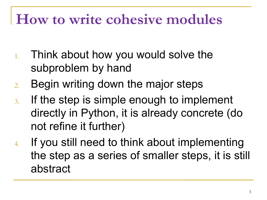#### **How to write cohesive modules**

- 1. Think about how you would solve the subproblem by hand
- 2. Begin writing down the major steps
- 3. If the step is simple enough to implement directly in Python, it is already concrete (do not refine it further)
- 4. If you still need to think about implementing the step as a series of smaller steps, it is still abstract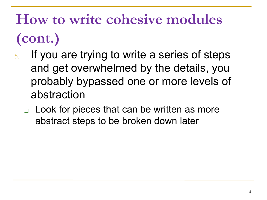# **How to write cohesive modules (cont.)**

- 5. If you are trying to write a series of steps and get overwhelmed by the details, you probably bypassed one or more levels of abstraction
	- ❑ Look for pieces that can be written as more abstract steps to be broken down later